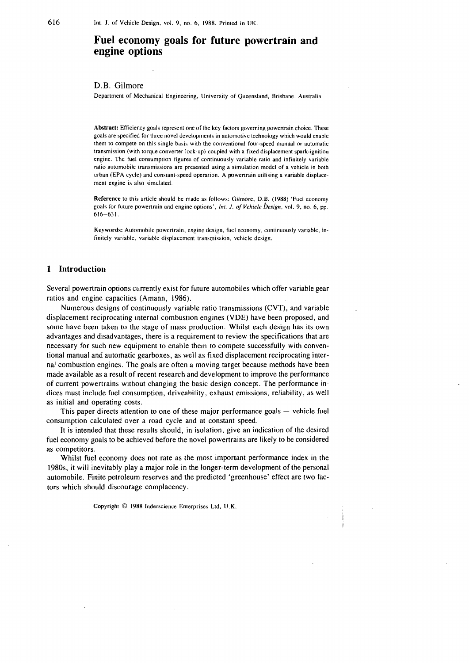# **Fuel economy goals for future powertrain and engine options**

D.B. Gilmore

Department of Mechanical Engineering, University of Queensland. Brisbane. Australia

**Abstract:** Efficiency goals represent one of the key factors governing powertrain choice. These goals are specified for three novel developments in automotive technology which would enable them to compete on this single basis with the conventional four-speed manual or automatic transmission (with torque converter lock-up) coupled with a fixed displacement spark-ignition engine. The fuel consumption tigures of continuously variable ratio and infinitely variable ratio automobile transmissions are presented using a simulation model of a vehicle in both urban (EPA cycle) and constant-speed operation. A powertrain utilising a variable displacement engine is also simulated.

**Reference** to this article should be made as follows: Gillnore, D.B. (1988) 'Fuel economy goals for future powertrain and engine options', *Inr. J.* **of** *Vehicle Design,* vol. *9,* no. 6, pp. 616-63 1.

**Keywords:** Automobile powertrain, engine design, fuel economy, continuously variable. infinitely variable, variable displacement transmission, vehicle design.

#### **1 Introduction**

Several powertrain options currently exist for future automobiles which offer variable gear ratios and engine capacities (Amann, 1986).

Numerous designs of continuously variable ratio transmissions (CVT), and variable displacement reciprocating internal combustion engines (VDE) have been proposed, and some have been taken to the stage of mass production. Whilst each design has its own advantages and disadvantages, there is a requirement to review the specifications that are necessary for such new equipment to enable them to compete successfully with conventional manual and automatic gearboxes, as well as fixed displacement reciprocating internal combustion engines. The goals are often a moving target because methods have been made available as a result of recent research and development to improve the performance of current powertrains without changing the basic design concept. The performance indices must include fuel consumption, driveability, exhaust emissions, reliability, as well as initial and operating costs.

This paper directs attention to one of these major performance goals  $-$  vehicle fuel consumption calculated over a road cycle and at constant speed.

It is intended that these results should, in isolation, give an indication of the desired fuel economy goals to be achieved before the novel powertrains are likely to be considered as competitors.

Whilst fuel economy does not rate as the most important performance index in the 1980s, it will inevitably play a major role in the longer-term development of the personal automobile. Finite petroleum reserves and the predicted 'greenhouse' effect are two factors which should discourage complacency.

Copyright *O* 1988 Inderseience Enterprises Ltd, U.K.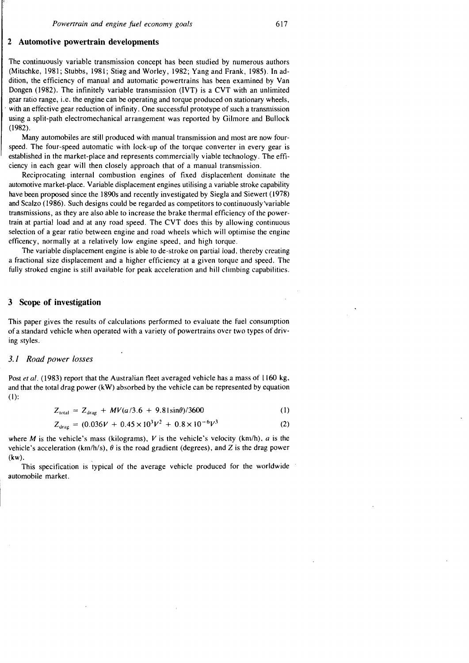# **2 Automotive powertrain developments**

The continuously variable transmission concept has been studied by numerous authors (Mitschke, 1981; Stubbs, 1981; Stieg and Worley, 1982; Yang and Frank, 1985). In addition, the efficiency of manual and automatic powertrains has been examined by Van Dongen (1982). The infinitely variable transmission (IVT) is a CVT with an unlimited gear ratio range, i.e. the engine can be operating and torque produced on stationary wheels, with an effective gear reduction of infinity. One successful prototype of such a transmission using a split-path electromechanical arrangement was reported by Gilmore and Bullock (1982).

Many automobiles are still produced with manual transmission and most are now fourspeed. The four-speed automatic with lock-up of the torque converter in every gear is established in the market-place and represents commercially viable technology. The efficiency in each gear will then closely approach that of a manual transmission.

Reciprocating internal combustion engines of fixed displacenient dominate the automotive market-place. Variable displacement engines utilising a variable stroke capability have been proposed since the 1890s and recently investigated by Siegla and Siewert (1978) and Scalzo (1986). Such designs could be regarded as competitors to continuously'variable transmissions, as they are also able to increase the brake thermal efficiency of the powertrain at partial load and at any road speed. The CVT does this by allowing continuous selection of a gear ratio between engine and road wheels which will optimise the engine efficency, normally at a relatively low engine speed, and high torque.

The variable displacement engine is able to de-stroke on partial load. thereby creating a fractional size displacement and a higher efficiency at a given torque and speed. The fully stroked engine is still available for peak acceleration and hill climbing capabilities.

# **3 Scope of investigation**

This paper gives the results of calculations performed to evaluate the fuel consumption of a standard vehicle when operated with a variety of powertrains over two types of driving styles.

# **3.1** *Road* **power losses**

Post *et al.* (1983) report that the Australian fleet averaged vehicle has a mass of 1160 kg, and that the total drag power (kW) absorbed by the vehicle can be represented by equation  $(1)$ :

$$
Z_{\text{total}} = Z_{\text{drag}} + MV(a/3.6 + 9.81\sin\theta)/3600 \tag{1}
$$

$$
Z_{\text{total}} = Z_{\text{drag}} + MV(a/3.6 + 9.81 \sin\theta)/3600
$$
\n
$$
Z_{\text{drag}} = (0.036V + 0.45 \times 10^3 V^2 + 0.8 \times 10^{-6} V^3)
$$
\n(2)

where M is the vehicle's mass (kilograms), V is the vehicle's velocity (km/h),  $a$  is the vehicle's acceleration ( $km/h/s$ ),  $\theta$  is the road gradient (degrees), and *Z* is the drag power  $(kw)$ .

This specification is typical of the average vehicle produced for the worldwide automobile market.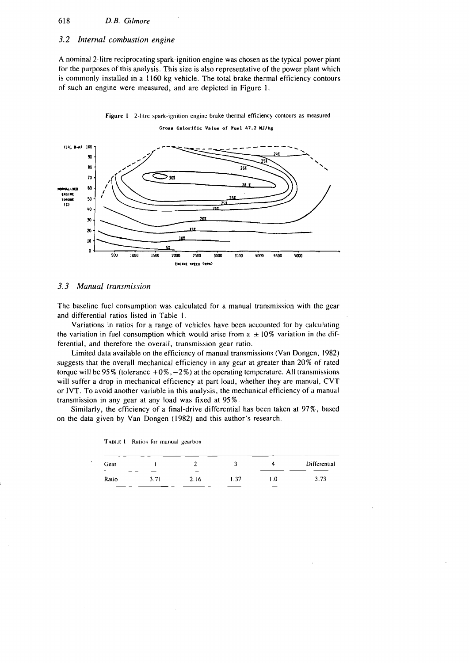# 618 D.B. Gilmore

# **3.2** *Internal combustion engine*

**A** nominal 2-litre reciprocating spark-ignition engine was chosen as the typical power plant for the purposes of this analysis. This size is also representative of the power plant which is commonly installed in a 1160 kg vehicle. The total brake thermal efficiency contours of such an engine were measured, and are depicted in Figure 1.



**Figure 1 2-litre spark-ignition engine brake thermal efficiency contours as measured Cross Cslorific Value of Fuel 47.2 Wlkg** 

#### 3.3 Manual transmission

The baseline fuel consumption was calculated for a manual transmission with the gear and differential ratios listed in Table I.

Variations in ratios for a range of vehicles have been accounted for by calculating the variation in fuel consumption which would arise from  $a \pm 10\%$  variation in the differential, and therefore thc overall, transmission gear ratio.

Limited data available on the efficiency of manual transmissions (Van Dongen, 1982) suggests that the overall mechanical efficiency in any gear at greater than 20% of rated torque will be 95% (tolerance  $+0\%,-2\%$ ) at the operating temperature. All transmissions will suffer a drop in mechanical efficiency at part load, whether they are manual, CVT or IVT. To avoid another variable in this analysis, the mechanical efficiency of a manual transmission in any gear at any load was fixed at 95%.

Similarly, the efficiency of a final-drive differential has been taken at 97%, bascd on the data given by Van Dongen (1982) and this author's research.

| Gear  |      |      |      |     | Differential |  |
|-------|------|------|------|-----|--------------|--|
| Ratio | 3.71 | 2.16 | 1.37 | 1.0 | 3.73         |  |

**'I'ABI.E 1** Ratios **for manual gearbox**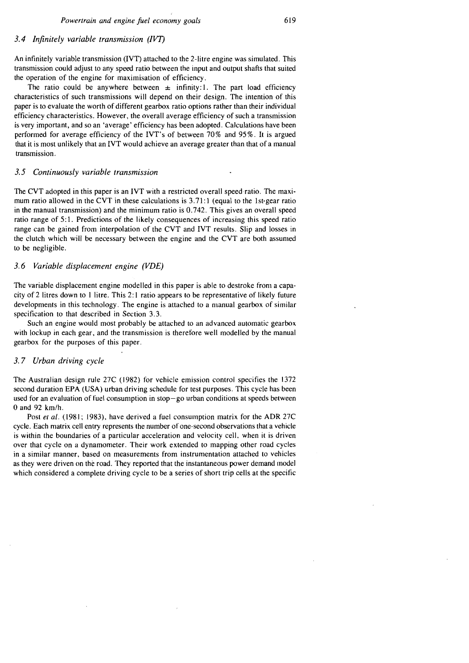# *Powertrain and engine fie1 economy goals*

# 3.4 Infinitely variable transmission (IVT)

An infinitely variable transmission (IVT) attached to the 2-litre engine was simulated. This transmission could adjust to any sped ratio between the input and output shafts that suited the operation of the engine for maximisation of efficiency.

The ratio could be anywhere between  $\pm$  infinity:1. The part load efficiency characteristics of such transmissions will depend on their design. The intention of this paper is to evaluate the worth of different gearbox ratio options rather than their individual efficiency characteristics. However, the overall average efficiency of such a transmission is very important, and so an 'average' efficiency has been adopted. Calculations have been performed for average efficiency of the IVT's of between 70% and 95%. It is argued that it is most unlikely that an IVT would achieve an average greater than that of a manual transmission.

#### *3.5 Continuously vuriable transmission*

The CVT adopted in this paper is an IVT with a restricted overall speed ratio. The maximum ratio allowed in the CVT in these calculations is  $3.71:1$  (equal to the 1st-gear ratio in the manual transmission) and the minimum ratio is 0.742. This gives an overall speed ratio range of 5:l. Predictions of the likely consequences of increasing this speed ratio range can be gained from interpolation of the CVT and IVT results. Slip and losses in the clutch which will be necessary between the engine and the CVT are both assumed to be negligible.

# *3.6 Variable displacement engine (VDE)*

The variable displacement engine modelled in this paper is able to destroke from a capacity of 2 litres down to I litre. This 2: 1 ratio appears to be representative of likely future developments in this technology. The engine is attached to a manual gearbox of similar specification to that described in Section 3.3.

Such an engine would most probably be attached to an advanced automatic gearbox with lockup in each gear, and the transmission is therefore well modelled by the manual gearbox for the purposes of this paper.

### *3.7 Urban driving cycle*

The Australian design rule 27C (1982) for vehicle emission control specifies the 1372 second duration EPA (USA) urban driving schedule for test purposes. This cycle has been used for an evaluation of fuel consumption in  $stop-go$  urban conditions at speeds between  $0$  and  $92$  km/h.

Post *et al.* (1981; 1983), have derived a fuel consumption matrix for the ADR 27C cycle. Each matrix cell entry represents the number of one-second observations that a vehicle is within the boundaries of a particular acceleration and velocity cell, when it is driven over that cycle on a dynamometer. Their work extended to mapping other road cycles in a similar manner, based on measurements from instrumentation attached to vehicles as they were driven on the road. They reported that the instantaneous power demand model which considered a complete driving cycle to be a series of short trip cells at the specific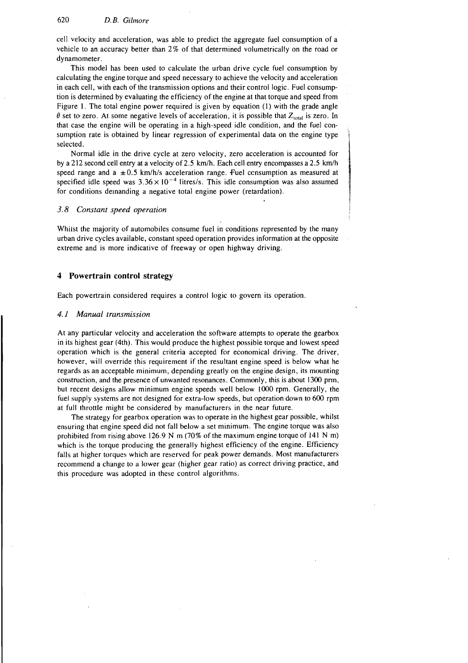cell velocity and acceleration, was able to predict the aggregate fuel consumption of a vehicle to an accuracy better than  $2\%$  of that determined volumetrically on the road or dynamometer.

This model has been used to calculate the urban drive cycle fuel consumption by calculating the engine torque and speed necessary to achieve the velocity and acceleration in each cell, with each of the transmission options and their control logic. Fuel consumption is determined by evaluating the efficiency of the engine at that torque and speed from Figure 1. The total engine power required is given by equation (1) with the grade angle  $\theta$  set to zero. At some negative levels of acceleration, it is possible that  $Z_{\text{total}}$  is zero. In that case the engine will be operating in a high-speed idle condition, and the fuel consumption rate is obtained by linear regression of experimental data on the engine type selected.

Normal idle in the drive cycle at zero velocity, zero acceleration is accounted for by a 212 second cell entry at a velocity of 2.5 km/h. Each cell entry encompasses a 2.5 km/h speed range and a  $\pm 0.5$  km/h/s acceleration range. Fuel consumption as measured at specified idle speed was  $3.36 \times 10^{-4}$  litres/s. This idle consumption was also assumed for conditions demanding a negative total engine power (retardation).

#### 3.8 **Constant speed operation**

Whilst the majority of automobiles consume fuel in conditions represented by the many urban drive cycles available, constant speed operation provides information at the opposite extreme and is more indicative of freeway or open highway driving.

# **4 Powertrain control strategy**

Each powertrain considered requires a control logic to govern its operation.

#### **4.1 Manual trunsmission**

At any particular velocity and acceleration the software attempts to operate the gearbox in its highest gear (4th). This would produce the highest possible torque and lowest speed operation which is the general criteria accepted for economical driving. The driver, however, will override this requirement if the resultant engine speed is below what he regards as an acceptable minimum, depending greatly on the engine design, its mounting construction, and the presence of unwanted resonances. Commonly, this is about 1300 prm, but recent designs allow minimum engine speeds well below 1000 rpm. Generally, the fuel supply systems are not designed for extra-low speeds, but operation down to 600 rpm at full throttle might be considered by manufacturers in the near future.

The strategy for gearbox operation was to operate in the highest gear possible, whilst ensuring that engine speed did not fall below a set minimum. The engine torque was also prohibited from rising above 126.9 N m  $(70\%$  of the maximum engine torque of 141 N m) which is the torque producing the generally highest efficiency of the engine. Efficiency falls at higher torques which are reserved for peak power demands. Most manufacturers recommend a change to a lower gear (higher gear ratio) as correct driving practice, and this procedure was adopted in these control algorithms.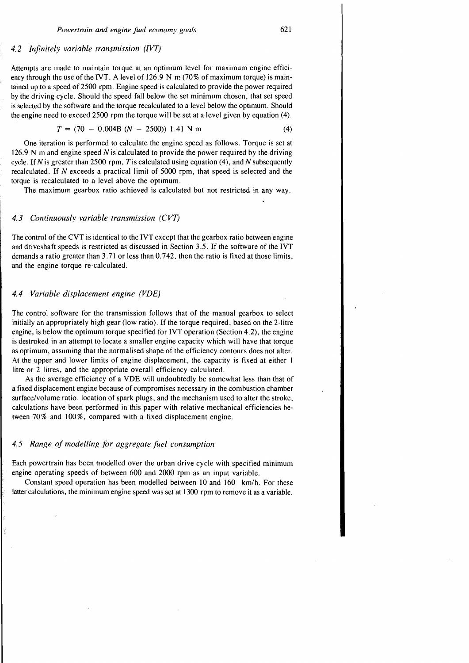#### *4.2 Infinitely variable transmission (IVT)*

Attempts are made to maintain torque at an optimum level for maximum engine efficiency through the use of the IVT. A level of 126.9 N **m** (70% of maximum torque) is maintained up to a speed of 2500 rpm. Engine speed is calculated to provide the power required by the driving cycle. Should the speed fall below the set minimum chosen, that set speed is selected by the software and the torque recalculated to a level below the optimum. Should the engine need to exceed 2500 rpm the torque will be set at a level given by equation (4).

$$
T = (70 - 0.004B (N - 2500)) 1.41 N m \tag{4}
$$

One iteration is performed to calculate the engine speed as follows. Torque is set at 126.9 N m and engine speed  $N$  is calculated to provide the power required by the driving cycle. If N is greater than 2500 rpm, T is calculated using equation  $(4)$ , and N subsequently recalculated. If N exceeds a practical limit of 5000 rpm, that speed is selected and the torque is recalculated to a level above the optimum.

The maximum gearbox ratio achieved is calculated but not restricted in any way.

#### 4.3 Continuously variable transmission (CVT)

The control of the CVT is identical to the IVT except that the gearbox ratio between engine and driveshaft speeds is restricted as discussed in Section 3.5. If the software of the IVT demands a ratio greater than 3.7 1 or less than 0.742, then the ratio is fixed at those limits, and the engine torque re-calculated.

#### *4.4 Variable displacement engine (VDE)*

The control software for the transmission follows that of the manual gearbox to select initially an appropriately high gear (low ratio). If the torque required, based on the 2-litre engine, is below the optimum torque specified for IVT operation (Section 4.2). the engine is destroked in an attempt to locate a smaller engine capacity which will have that torque as optimum, assuming that the normalised shape of the efficiency contours does not alter. At the upper and lower limits of engine displacement, the capacity is fixed at either I litre or 2 litres, and the appropriate overall efficiency calculated.

As the average efficiency of a VDE will undoubtedly be somewhat less than that of a fixed displacement engine because of compromises necessary in the combustion chamber surface/volume ratio, location of spark plugs, and the mechanism used to alter the stroke, calculations have been performed in this paper with relative mechanical efficiencies between 70% and 100%, compared with a fixed displacement engine.

## *4.5 Range of modelling for aggregate fuel consumption*

Each powertrain has been modelled over the urban drive cycle with specified minimum engine operating speeds of between 600 and 2000 rpm as an input variable.

Constant speed operation has been modelled between 10 and 160 km/h. For these latter calculations, the minimum engine speed was set at 1300 rpm to remove it as a variable.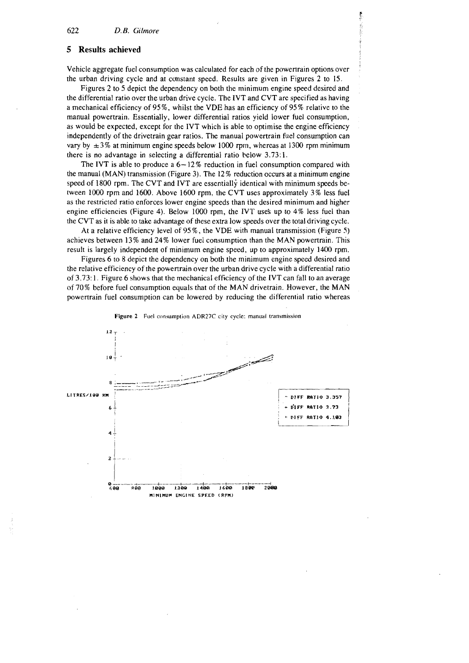## **5 Results achieved**

Vehicle aggregate fuel consumption was calculated for each of the powertrain options over the urban driving cycle and at cunstant speed. Results are given in Figures 2 to 15.

Figures 2 to 5 depict the dependency on both the minimum engine speed desired and the differential ratio over the urban drive cycle. The IVT and CVT are specified as having a mechanical efficiency of **95%,** whilst the VDE has an efficiency of 95% relative to the manual powertrain. Essentially, lower differential ratios yield lower fuel consumption, as would be expected, except for the IVT which is able to optimise the engine efficiency independently of the drivetrain gear ratios. The manual powertrain fuel consumption can vary by  $\pm 3\%$  at minimum engine speeds below 1000 rpm, whereas at 1300 rpm minimum there is no advantage in selecting a differential ratio below 3.73:l.

The IVT is able to produce a  $6 - 12\%$  reduction in fuel consumption compared with the manual (MAN) transmission (Figure 3). The 12 % reduction occurs at a minimum engine speed of 1800 rpm. The CVT and IVT are essentially identical with minimum speeds between 1000 rpm and 1600. Above 1600 rpm, the CVT uses approximately 3% less fuel as the restricted ratio enforces lower engine speeds than the desired minimum and higher engine efficiencies (Figure 4). Below 1000 rpm, the IVT uses up to  $4\%$  less fuel than the CVT as it is able to take advantage of these extra low speeds over the total driving cycle.

At a relative efficiency level of 95 %, the VDE with manual transmission (Figure 5) achieves between 13% and 24% lower fuel consumption than the MAN powertrain. This result is largely independent of minimum engine speed, up to approximately 1400 rpm.

Figures 6 to 8 depict the dependency on both the minimum engine speed desired and the relative efficiency of the powertrain over the urban drive cycle with a differential ratio of 3.73: 1. Figure 6 shows that the mechanical efficiency of the IVT can fall to an average of 70% before fuel consumption equals that of the MAN drivetrain. However, the MAN powertrain fuel consumption can be lowered by reducing the differential ratio whereas



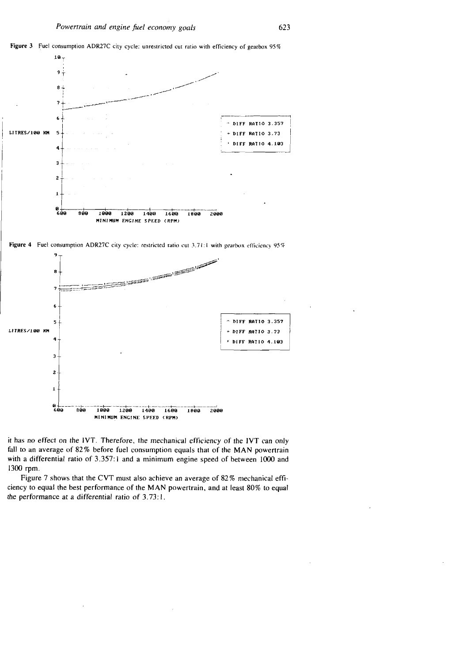





1400

 $1600$ 

 $1899$ 

 $2900$ 

 $\overline{c}$ 

 $\mathbf{1}$ 

–∔0<br>600

 $800$ 

 $1000$ 

 $1200$ 

Figure 7 shows that the CVT must also achieve an average of 82% mechanical efficiency to equal the best performance of the MAN powertrain, and at least 80% to equal the performance at a differential ratio of 3.73:1.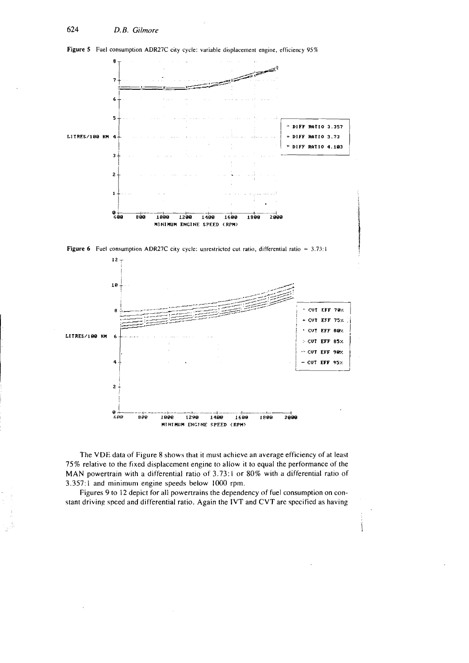

**Figure 5** Fuel consumption ADR27C city cycle: variable displacement engine, efficiency **95%** 

The VDE data of Figure 8 shows that it must achieve an average efficiency of at least 75% relative to the fixed displacement engine to allow it to equal the performance of the MAN powertrain with a differential ratio of 3.73:1 or 80% with a differential ratio of 3.357: 1 and minimum engine speeds below 1000 rpm.

**6RR ~QQ l@@B 1290 140% 160~1 1808 2808 MINIMUM PNCINE SPEED (RPM?** 

Figures 9 to 12 depict for all powertrains the dependency of fuel consumption on constant driving speed and differential ratio. Again the IVT and CVT arc specified as having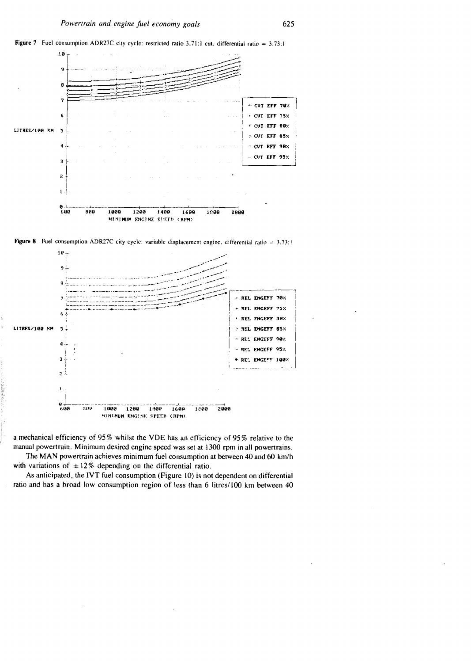



Figure 8 Fuel consumption ADR27C city cycle: variable displacement engine, differential ratio =  $3.73$ :1



a mechanical efficiency of 95% whilst the VDE has an efficiency of 95% relative to the manual powertrain. Minimum desired engine speed was set at 1300 rpm in all powertrains.

The MAN powertrain achieves minimum fuel consumption at between 40 and 60 km/h with variations of  $\pm 12\%$  depending on the differential ratio.

As anticipated, the IVT fuel consumption (Figure 10) is not dependent on differential ratio and has a broad low consumption region of less than 6 litres/100 km between 40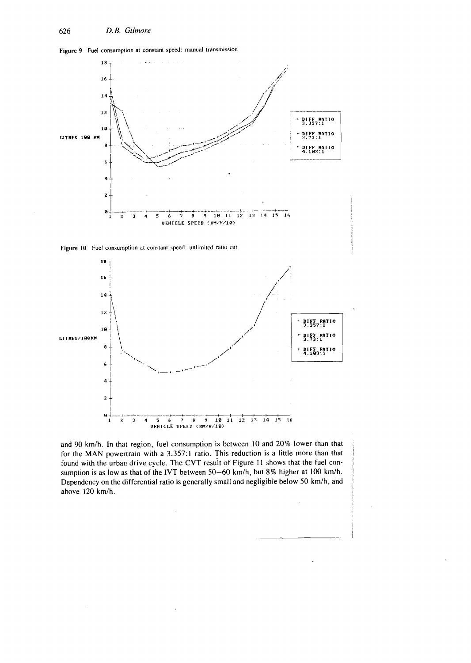6

 $\ddot{\mathbf{4}}$ 

 $\overline{\mathbf{c}}$ 





and 90 kmlh. In that region, fuel consumption is between 10 and 20% lower than that for the MAN powertrain with a 3.357:1 ratio. This reduction is a little more than that found with the urban drive cycle. The CVT resuit of Figure **I1** shows that the fuel consumption is as low as that of the IVT between 50-60 km/h, but 8% higher at 100 km/h. Dependency on the differential ratio is generally small and negligible below 50 km/h, and above 120 km/h.

<sup>I</sup>*@L-r* **+-..+d--+---b-~--++!** 8 a \* **12 3 4 5 6 7** *e* **9 10111i1'31ii51b** 

**VEHICLE SPEED** ( **I(M/H/10)**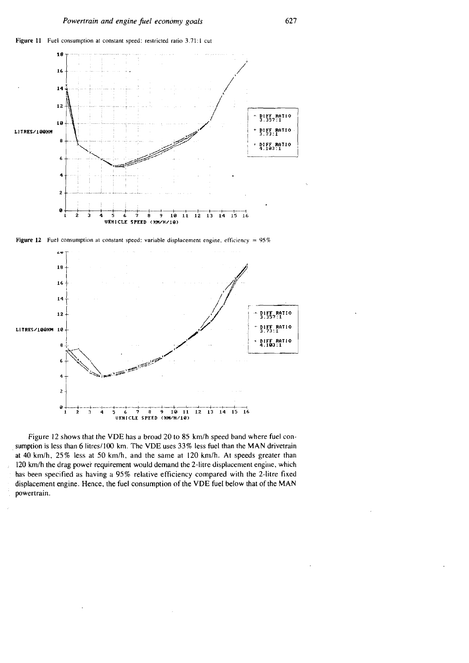



**Figure 12** Fuel consumption at constant speed: variable displacement engine, efficiency =  $95\%$ 



Figure 12 shows that the VDE has a broad 20 to 85 km/h speed band where fuel consumption is less than 6 litres/100 km. The VDE uses 33% less fuel than the MAN drivetrain at 40 kmlh, *25%* less at *50* km/h, and the same at 120 km/h. At speeds greater than 120 km/h the drag power requirement would demand the 2-litre displacement engine, which has been specified as having a 95% relative efficiency compared with the 2-litre fixed displacement engine. Hence, the fuel consumption of the VDE fuel below that of the MAN powertrain.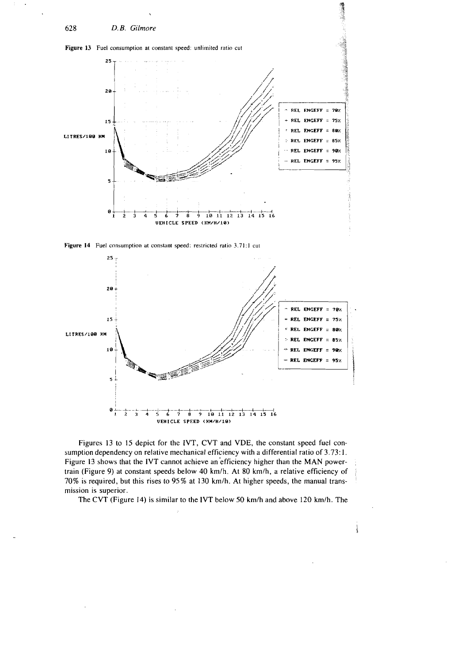

Figure 14 Fuel consumption at constant speed: restricted ratio 3.71:1 cut



Figures 13 to 15 depict for the IVT, CVT and VDE, the constant speed fuel consumption dependency on relative mechanical efficiency with a differential ratio of 3.73: 1. Figure 13 shows that the IVT cannot achieve an efficiency higher than the MAN powertrain (Figure 9) at constant speeds below 40 km/h. At 80 km/h, a relative efficiency of 70% is required, but this rises to 95% at 130 km/h. At higher speeds, the manual transmission is superior.

The CVT (Figure 14) is similar to the IVT below 50 km/h and above 120 km/h. The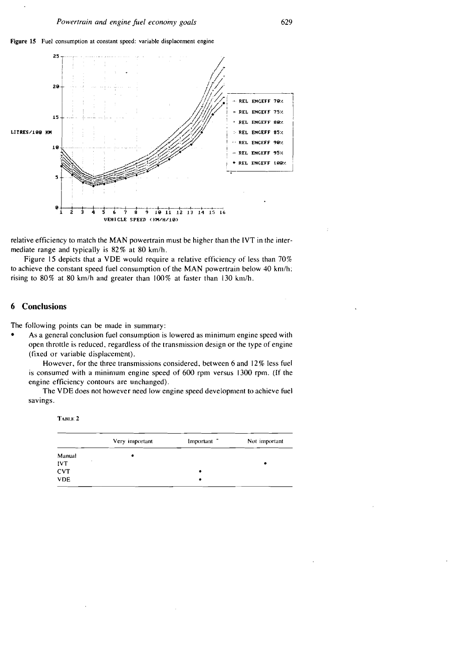



relative efficiency to match the MAN powertrain must be higher than the IVT in the intermediate range and typically is 82% at 80 km/h.

Figure 15 depicts that a VDE would require a relative efficiency of less than 70% to achieve the constant speed fuel consumption of the MAN powertrain below 40 km/h: rising to  $80\%$  at  $80$  km/h and greater than  $100\%$  at faster than  $130$  km/h.

# **6 Conclusions**

The following points can be made in summary:

As a general conclusion fuel consumption is lowered as minimum engine speed with open throttle is reduced, regardless of the transmission design or the type of engine (fixed or variable displacement).

However. for the three transmissions considered, between 6 and 12% less fuel is consumed with a minimum engine speed of 600 rpm versus 1300 rpm. (If the engine efficiency contours are unchanged).

The VDE does not however need low engine speed development to achieve fuel savings.

**ТАВLЕ 2** 

| Very important | Important <sup>-</sup> | Not important |
|----------------|------------------------|---------------|
| ٠              |                        |               |
|                |                        | ٠             |
|                | ٠                      |               |
|                | ٠                      |               |
|                |                        |               |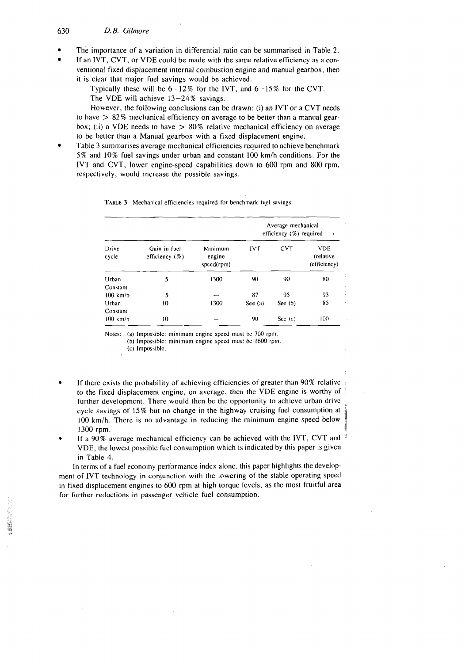#### 630 D.B. Gilmore

- 'The importance of a variation in differential ratio can be summarised in Table **2.**
- If an IVT, CVT, or VDE could be made with the same relative efficiency as a conventional fixed displacement internal combustion engine and manual gearbox, then it is clear that major fuel savings would be achicved.

Typically these will be  $6-12\%$  for the IVT, and  $6-15\%$  for the CVT.

The VDE will achieve  $13-24\%$  savings.

However, the following conclusions can be drawn: (i) an IVT or a CVT needs to have  $> 82\%$  mechanical efficiency on average to be better than a manual gearbox; (ii) a VDE needs to have  $> 80\%$  relative mechanical efficiency on average to be better than a Manual gearbox with a fixed displacement engine.

Table 3 summarises average mechanical efficiencies required to achieve benchmark 5% and 10% fuel savings under urban and constant 100 km/h conditions. For the IVT and CVT. lower engine-speed capabilities down to 600 rpm and 800 rpm, respectively, would increase the possible savings.

|  |  |  |  | TABLE 3 Mechanical efficiencies required for benchmark fuel savings |  |  |
|--|--|--|--|---------------------------------------------------------------------|--|--|
|--|--|--|--|---------------------------------------------------------------------|--|--|

| Drive<br>cycle | Gain in fuel<br>efficiency $(\%)$ | Minimum<br>engine<br>speed(rpm) | Average mechanical<br>efficiency (%) required<br>÷ |            |                                         |  |  |
|----------------|-----------------------------------|---------------------------------|----------------------------------------------------|------------|-----------------------------------------|--|--|
|                |                                   |                                 | <b>IVT</b>                                         | <b>CVT</b> | <b>VDE</b><br>(relative<br>(efficiency) |  |  |
| Urban          | 5                                 | 1300                            | 90                                                 | 90         | 80                                      |  |  |
| Constant       |                                   |                                 |                                                    |            |                                         |  |  |
| $100$ km/h     | 5                                 |                                 | 87                                                 | 95         | 93                                      |  |  |
| Urban          | 10                                | 1300                            | Scc(a)                                             | See (b)    | 85                                      |  |  |
| Constant       |                                   |                                 |                                                    |            |                                         |  |  |
| $100$ km/h     | 10                                |                                 | 90                                                 | See $(c)$  | 100                                     |  |  |

Notes: (a) Impossible: minimum engine speed must be 700 rpm.

(b) Impossiblc: minimum engine speed must be 1600 rpm

**(c)** Impossiblc.

- If there exists the probability of achieving efficiencies of greater than 90% relative to the fixed displacement engine, on average, then the VDE engine is worthy of ' further development. There would then be the opportunity to achieve urban drive cycle savings of 15% but no change in the highway cruising fuel consumption at 100 km/h. There is no advantage in reducing the minimum engine speed below 1300 rpm. 1300 rpm.  $\frac{1}{3}$
- If a 90% average mechanical efficiency can be achieved with the IVT, CVT and VDE, the lowest possible fuel consumption which is indicated by this paper is given in Table 4.

In terms of a fuel economy performance index alone, this paper highlights the development of IVT technology in conjunction with the lowering of the stable operating speed in fixed displacement engines to 600 rpm at high torque levels, as the most fruitful area for further reductions in passenger vehicle fuel consumption.